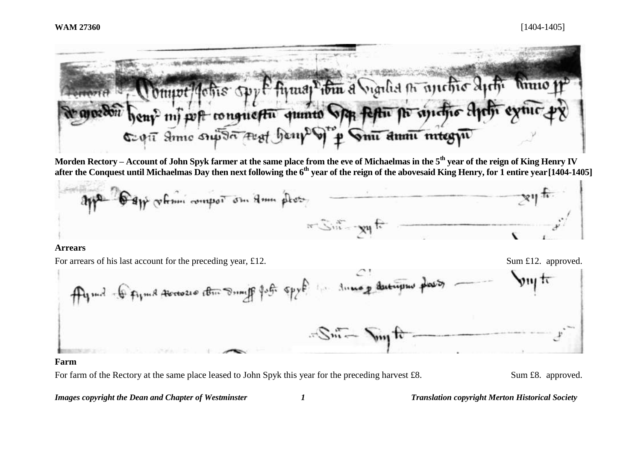Johns Spy & fizzag then a Sigilia no another Apth Minio  $0$ *munt!* mi post conquestu quinto ofthe festive for signific Elgel Sept Some suport that benpe y to Smit annumities you

**Morden Rectory – Account of John Spyk farmer at the same place from the eve of Michaelmas in the 5th year of the reign of King Henry IV after the Conquest until Michaelmas Day then next following the 6th year of the reign of the abovesaid King Henry, for 1 entire year[1404-1405]**



#### **Arrears**

For arrears of his last account for the preceding year, £12. Sum £12. approved.



#### **Farm**

For farm of the Rectory at the same place leased to John Spyk this year for the preceding harvest £8. Sum £8. approved.

*Images copyright the Dean and Chapter of Westminster 1 Translation copyright Merton Historical Society*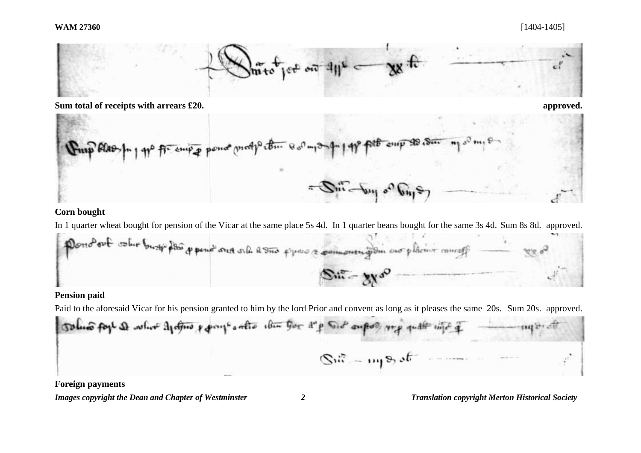



# **Corn bought**

In 1 quarter wheat bought for pension of the Vicar at the same place 5s 4d. In 1 quarter beans bought for the same 3s 4d. Sum 8s 8d. approved.

Donotout columbiary pour pour our order to prove a commentation are plaint comeals  $S_{\text{in}} - \gamma \gamma \delta^0$ 

# **Pension paid**

Paid to the aforesaid Vicar for his pension granted to him by the lord Prior and convent as long as it pleases the same 20s. Sum 20s. approved.

Tolus fort & what define y pays antis when you d'p Sid suport was with which g 1868 277 010  $\mathbb{S}^{\mathfrak{m}}$  - mp of  $\mathfrak{c}$ 

**Foreign payments**

*Images copyright the Dean and Chapter of Westminster 2 Translation copyright Merton Historical Society*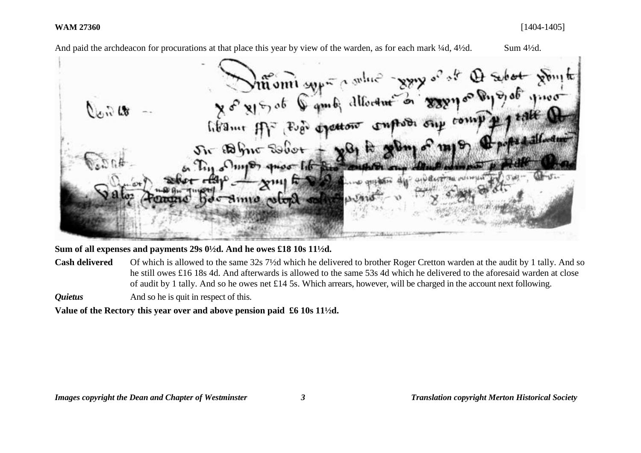And paid the archdeacon for procurations at that place this year by view of the warden, as for each mark ¼d, 4¼d. Sum 4½d. Ving to the fine of the Charges of the Charges of the Charges of the  $\tilde{a}_d$ Fugo dyettone conflict sup comp *l'hame* Sir Bhir Sobot  $\sim$   $\sim$  $uv<sub>der</sub>$ we arrive to dis- $\n **Sum12**\n$ 

**Sum of all expenses and payments 29s 0½d. And he owes £18 10s 11½d.** 

**Cash delivered** Of which is allowed to the same 32s 7½d which he delivered to brother Roger Cretton warden at the audit by 1 tally. And so he still owes £16 18s 4d. And afterwards is allowed to the same 53s 4d which he delivered to the aforesaid warden at close of audit by 1 tally. And so he owes net £14 5s. Which arrears, however, will be charged in the account next following.

*Quietus* And so he is quit in respect of this.

**Value of the Rectory this year over and above pension paid £6 10s 11½d.**